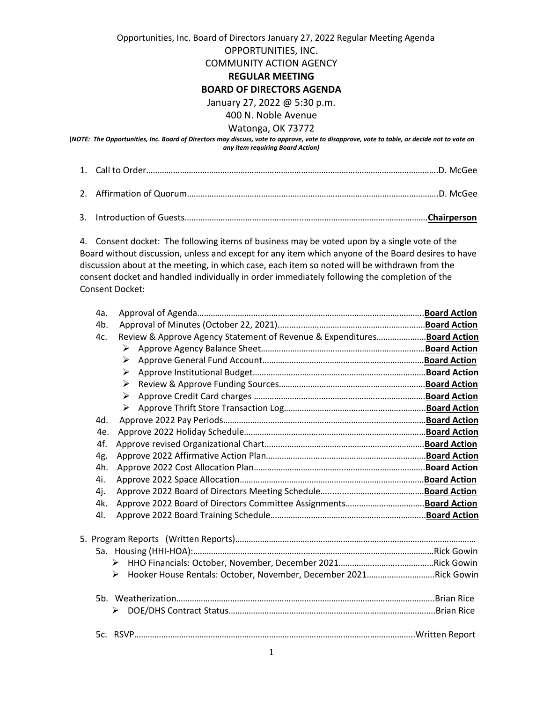## Opportunities, Inc. Board of Directors January 27, 2022 Regular Meeting Agenda

OPPORTUNITIES, INC.

COMMUNITY ACTION AGENCY

#### **REGULAR MEETING**

### **BOARD OF DIRECTORS AGENDA**

January 27, 2022 @ 5:30 p.m.

# 400 N. Noble Avenue

### Watonga, OK 73772

**(***NOTE: The Opportunities, Inc. Board of Directors may discuss, vote to approve, vote to disapprove, vote to table, or decide not to vote on any item requiring Board Action)*

3. Introduction of Guests……………………………………………..……………………………………………….**Chairperson**

4. Consent docket: The following items of business may be voted upon by a single vote of the Board without discussion, unless and except for any item which anyone of the Board desires to have discussion about at the meeting, in which case, each item so noted will be withdrawn from the consent docket and handled individually in order immediately following the completion of the Consent Docket:

| 4a. |                                                                          |  |
|-----|--------------------------------------------------------------------------|--|
| 4b. |                                                                          |  |
| 4c. | Review & Approve Agency Statement of Revenue & Expenditures Board Action |  |
|     | ➤                                                                        |  |
|     | ➤                                                                        |  |
|     | ➤                                                                        |  |
|     | ➤                                                                        |  |
|     | ➤                                                                        |  |
|     | ➤                                                                        |  |
| 4d. |                                                                          |  |
| 4e. |                                                                          |  |
| 4f. |                                                                          |  |
| 4g. |                                                                          |  |
| 4h. |                                                                          |  |
| 4i. |                                                                          |  |
| 4j. |                                                                          |  |
| 4k. |                                                                          |  |
| 41. |                                                                          |  |
|     |                                                                          |  |
|     |                                                                          |  |
|     |                                                                          |  |
|     | Hooker House Rentals: October, November, December 2021Rick Gowin         |  |
|     |                                                                          |  |
|     |                                                                          |  |
|     | ➤                                                                        |  |
|     |                                                                          |  |